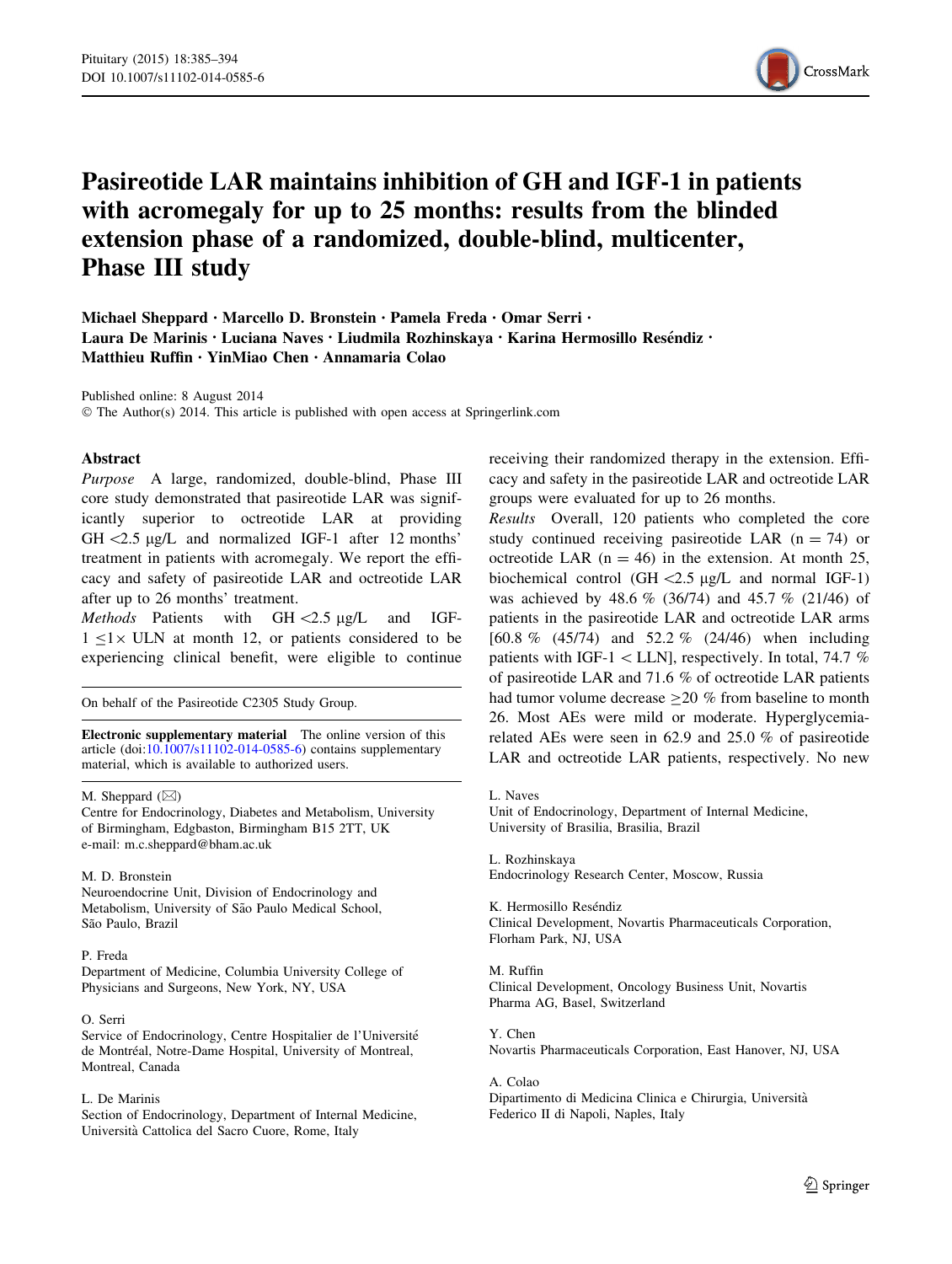

# Pasireotide LAR maintains inhibition of GH and IGF-1 in patients with acromegaly for up to 25 months: results from the blinded extension phase of a randomized, double-blind, multicenter, Phase III study

Michael Sheppard • Marcello D. Bronstein • Pamela Freda • Omar Serri • Laura De Marinis • Luciana Naves • Liudmila Rozhinskaya • Karina Hermosillo Reséndiz • Matthieu Ruffin • YinMiao Chen • Annamaria Colao

Published online: 8 August 2014

© The Author(s) 2014. This article is published with open access at Springerlink.com

## Abstract

Purpose A large, randomized, double-blind, Phase III core study demonstrated that pasireotide LAR was significantly superior to octreotide LAR at providing  $GH < 2.5 \mu g/L$  and normalized IGF-1 after 12 months' treatment in patients with acromegaly. We report the efficacy and safety of pasireotide LAR and octreotide LAR after up to 26 months' treatment.

Methods Patients with  $GH < 2.5 \mu g/L$  and IGF- $1 \leq l \times ULN$  at month 12, or patients considered to be experiencing clinical benefit, were eligible to continue

On behalf of the Pasireotide C2305 Study Group.

Electronic supplementary material The online version of this article (doi:[10.1007/s11102-014-0585-6\)](http://dx.doi.org/10.1007/s11102-014-0585-6) contains supplementary material, which is available to authorized users.

#### M. Sheppard  $(\boxtimes)$

Centre for Endocrinology, Diabetes and Metabolism, University of Birmingham, Edgbaston, Birmingham B15 2TT, UK e-mail: m.c.sheppard@bham.ac.uk

#### M. D. Bronstein

Neuroendocrine Unit, Division of Endocrinology and Metabolism, University of São Paulo Medical School, São Paulo, Brazil

## P. Freda

Department of Medicine, Columbia University College of Physicians and Surgeons, New York, NY, USA

## O. Serri

Service of Endocrinology, Centre Hospitalier de l'Université de Montréal, Notre-Dame Hospital, University of Montreal, Montreal, Canada

## L. De Marinis

Section of Endocrinology, Department of Internal Medicine, Universita` Cattolica del Sacro Cuore, Rome, Italy

receiving their randomized therapy in the extension. Efficacy and safety in the pasireotide LAR and octreotide LAR groups were evaluated for up to 26 months.

Results Overall, 120 patients who completed the core study continued receiving pasireotide LAR  $(n = 74)$  or octreotide LAR ( $n = 46$ ) in the extension. At month 25, biochemical control (GH  $\langle 2.5 \mu g/L \rangle$  and normal IGF-1) was achieved by 48.6 % (36/74) and 45.7 % (21/46) of patients in the pasireotide LAR and octreotide LAR arms [60.8 % (45/74) and 52.2 % (24/46) when including patients with IGF-1  $\lt$  LLN], respectively. In total, 74.7 % of pasireotide LAR and 71.6 % of octreotide LAR patients had tumor volume decrease  $\geq$  20 % from baseline to month 26. Most AEs were mild or moderate. Hyperglycemiarelated AEs were seen in 62.9 and 25.0 % of pasireotide LAR and octreotide LAR patients, respectively. No new

L. Naves

Unit of Endocrinology, Department of Internal Medicine, University of Brasilia, Brasilia, Brazil

L. Rozhinskaya Endocrinology Research Center, Moscow, Russia

K. Hermosillo Reséndiz Clinical Development, Novartis Pharmaceuticals Corporation, Florham Park, NJ, USA

M. Ruffin Clinical Development, Oncology Business Unit, Novartis Pharma AG, Basel, Switzerland

Y. Chen Novartis Pharmaceuticals Corporation, East Hanover, NJ, USA

A. Colao Dipartimento di Medicina Clinica e Chirurgia, Universita` Federico II di Napoli, Naples, Italy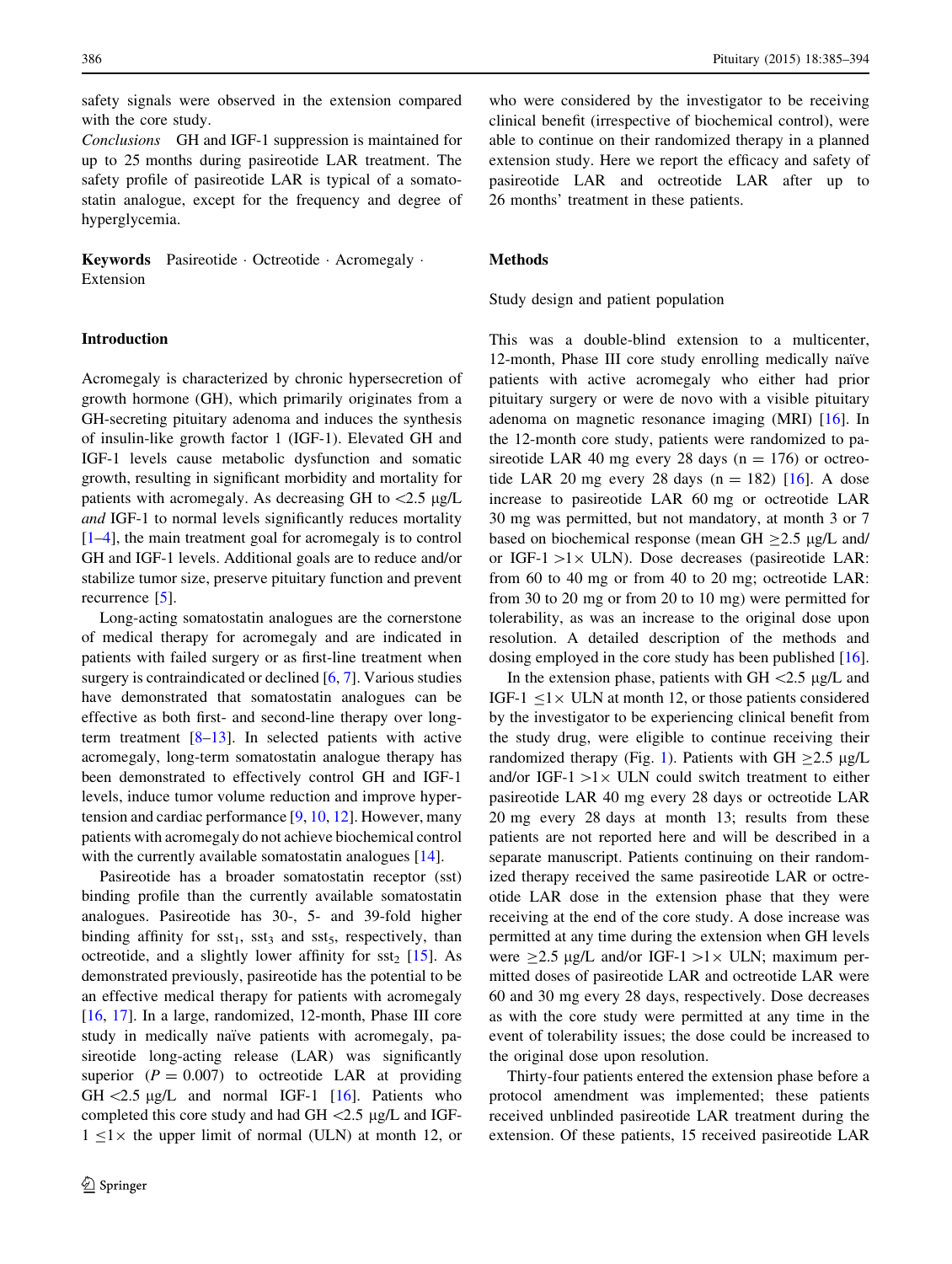safety signals were observed in the extension compared with the core study.

Conclusions GH and IGF-1 suppression is maintained for up to 25 months during pasireotide LAR treatment. The safety profile of pasireotide LAR is typical of a somatostatin analogue, except for the frequency and degree of hyperglycemia.

Keywords Pasireotide - Octreotide - Acromegaly - Extension

## Introduction

Acromegaly is characterized by chronic hypersecretion of growth hormone (GH), which primarily originates from a GH-secreting pituitary adenoma and induces the synthesis of insulin-like growth factor 1 (IGF-1). Elevated GH and IGF-1 levels cause metabolic dysfunction and somatic growth, resulting in significant morbidity and mortality for patients with acromegaly. As decreasing GH to  $\langle 2.5 \mu g/L$ and IGF-1 to normal levels significantly reduces mortality [\[1–4](#page-8-0)], the main treatment goal for acromegaly is to control GH and IGF-1 levels. Additional goals are to reduce and/or stabilize tumor size, preserve pituitary function and prevent recurrence [[5\]](#page-8-0).

Long-acting somatostatin analogues are the cornerstone of medical therapy for acromegaly and are indicated in patients with failed surgery or as first-line treatment when surgery is contraindicated or declined [\[6](#page-8-0), [7\]](#page-8-0). Various studies have demonstrated that somatostatin analogues can be effective as both first- and second-line therapy over longterm treatment [[8–13\]](#page-9-0). In selected patients with active acromegaly, long-term somatostatin analogue therapy has been demonstrated to effectively control GH and IGF-1 levels, induce tumor volume reduction and improve hypertension and cardiac performance [[9,](#page-9-0) [10,](#page-9-0) [12](#page-9-0)]. However, many patients with acromegaly do not achieve biochemical control with the currently available somatostatin analogues [\[14](#page-9-0)].

Pasireotide has a broader somatostatin receptor (sst) binding profile than the currently available somatostatin analogues. Pasireotide has 30-, 5- and 39-fold higher binding affinity for  $sst_1$ ,  $sst_3$  and  $sst_5$ , respectively, than octreotide, and a slightly lower affinity for sst<sub>2</sub> [[15\]](#page-9-0). As demonstrated previously, pasireotide has the potential to be an effective medical therapy for patients with acromegaly [\[16](#page-9-0), [17](#page-9-0)]. In a large, randomized, 12-month, Phase III core study in medically naïve patients with acromegaly, pasireotide long-acting release (LAR) was significantly superior  $(P = 0.007)$  to octreotide LAR at providing  $GH < 2.5 \mu g/L$  and normal IGF-1 [[16\]](#page-9-0). Patients who completed this core study and had GH  $\langle 2.5 \mu g/L \rangle$  and IGF- $1 \leq 1 \times$  the upper limit of normal (ULN) at month 12, or

who were considered by the investigator to be receiving clinical benefit (irrespective of biochemical control), were able to continue on their randomized therapy in a planned extension study. Here we report the efficacy and safety of pasireotide LAR and octreotide LAR after up to 26 months' treatment in these patients.

## Methods

Study design and patient population

This was a double-blind extension to a multicenter, 12-month, Phase III core study enrolling medically naïve patients with active acromegaly who either had prior pituitary surgery or were de novo with a visible pituitary adenoma on magnetic resonance imaging (MRI) [[16\]](#page-9-0). In the 12-month core study, patients were randomized to pasireotide LAR 40 mg every 28 days ( $n = 176$ ) or octreo-tide LAR 20 mg every 28 days (n = 182) [[16\]](#page-9-0). A dose increase to pasireotide LAR 60 mg or octreotide LAR 30 mg was permitted, but not mandatory, at month 3 or 7 based on biochemical response (mean GH  $>2.5$  µg/L and/ or IGF-1  $>1 \times$  ULN). Dose decreases (pasireotide LAR: from 60 to 40 mg or from 40 to 20 mg; octreotide LAR: from 30 to 20 mg or from 20 to 10 mg) were permitted for tolerability, as was an increase to the original dose upon resolution. A detailed description of the methods and dosing employed in the core study has been published [\[16](#page-9-0)].

In the extension phase, patients with GH  $\langle 2.5 \mu g/L \rangle$  and IGF-1  $\leq$ 1  $\times$  ULN at month 12, or those patients considered by the investigator to be experiencing clinical benefit from the study drug, were eligible to continue receiving their randomized therapy (Fig. [1\)](#page-2-0). Patients with GH  $>2.5 \mu g/L$ and/or IGF-1  $>1 \times$  ULN could switch treatment to either pasireotide LAR 40 mg every 28 days or octreotide LAR 20 mg every 28 days at month 13; results from these patients are not reported here and will be described in a separate manuscript. Patients continuing on their randomized therapy received the same pasireotide LAR or octreotide LAR dose in the extension phase that they were receiving at the end of the core study. A dose increase was permitted at any time during the extension when GH levels were  $\geq$ 2.5 µg/L and/or IGF-1 >1 \times ULN; maximum permitted doses of pasireotide LAR and octreotide LAR were 60 and 30 mg every 28 days, respectively. Dose decreases as with the core study were permitted at any time in the event of tolerability issues; the dose could be increased to the original dose upon resolution.

Thirty-four patients entered the extension phase before a protocol amendment was implemented; these patients received unblinded pasireotide LAR treatment during the extension. Of these patients, 15 received pasireotide LAR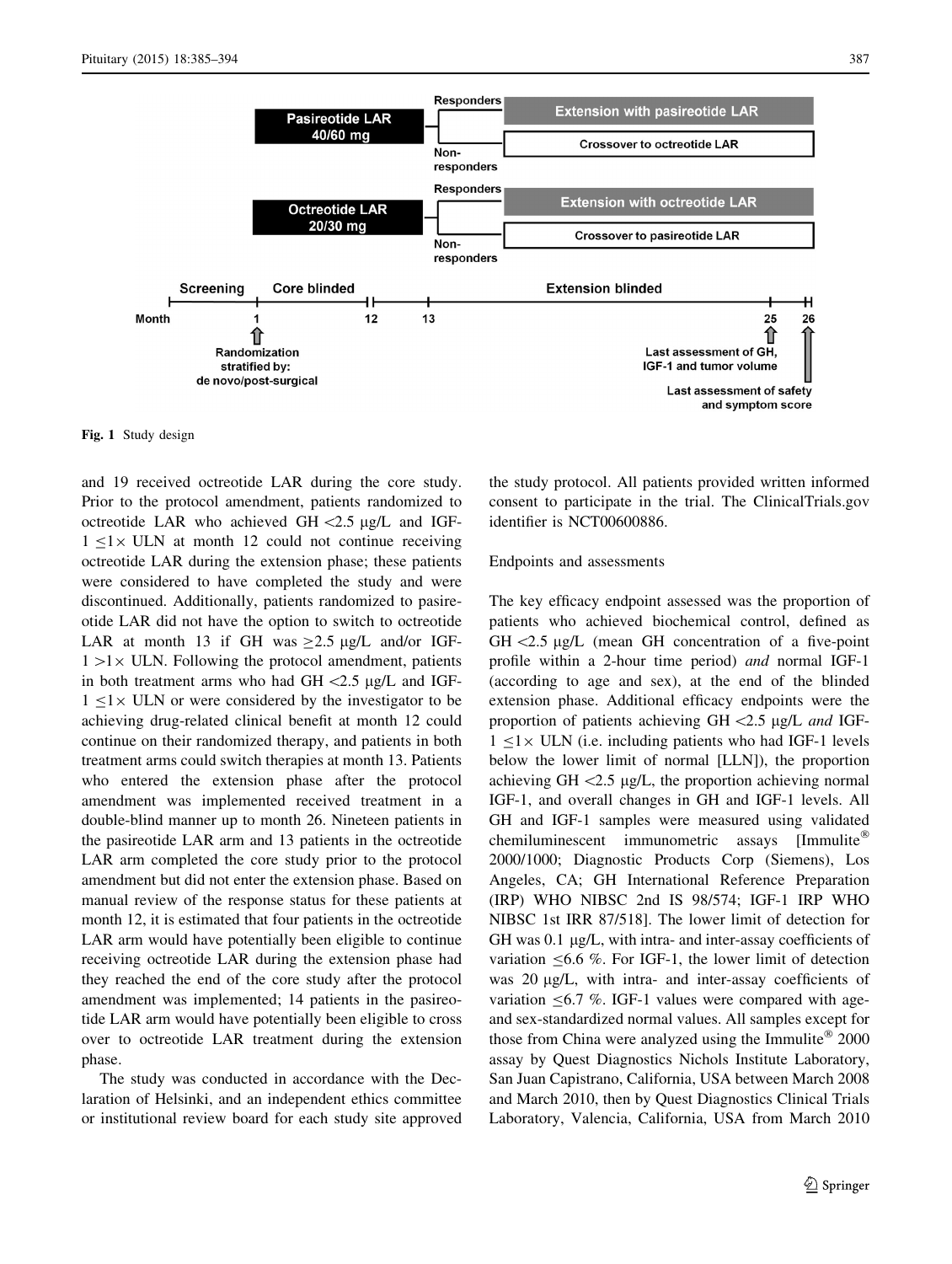<span id="page-2-0"></span>

Fig. 1 Study design

and 19 received octreotide LAR during the core study. Prior to the protocol amendment, patients randomized to octreotide LAR who achieved GH  $\langle 2.5 \text{ µg/L} \rangle$  and IGF- $1 \leq 1 \times$  ULN at month 12 could not continue receiving octreotide LAR during the extension phase; these patients were considered to have completed the study and were discontinued. Additionally, patients randomized to pasireotide LAR did not have the option to switch to octreotide LAR at month 13 if GH was  $\geq$  2.5 µg/L and/or IGF- $1 > 1 \times$  ULN. Following the protocol amendment, patients in both treatment arms who had  $GH < 2.5 \mu g/L$  and IGF- $1 \leq 1 \times$  ULN or were considered by the investigator to be achieving drug-related clinical benefit at month 12 could continue on their randomized therapy, and patients in both treatment arms could switch therapies at month 13. Patients who entered the extension phase after the protocol amendment was implemented received treatment in a double-blind manner up to month 26. Nineteen patients in the pasireotide LAR arm and 13 patients in the octreotide LAR arm completed the core study prior to the protocol amendment but did not enter the extension phase. Based on manual review of the response status for these patients at month 12, it is estimated that four patients in the octreotide LAR arm would have potentially been eligible to continue receiving octreotide LAR during the extension phase had they reached the end of the core study after the protocol amendment was implemented; 14 patients in the pasireotide LAR arm would have potentially been eligible to cross over to octreotide LAR treatment during the extension phase.

The study was conducted in accordance with the Declaration of Helsinki, and an independent ethics committee or institutional review board for each study site approved the study protocol. All patients provided written informed consent to participate in the trial. The ClinicalTrials.gov identifier is NCT00600886.

## Endpoints and assessments

The key efficacy endpoint assessed was the proportion of patients who achieved biochemical control, defined as  $GH \leq 2.5$  µg/L (mean GH concentration of a five-point profile within a 2-hour time period) and normal IGF-1 (according to age and sex), at the end of the blinded extension phase. Additional efficacy endpoints were the proportion of patients achieving GH $\langle 2.5 \text{ µg/L} \text{ and IGF-}$  $1 \leq l \times ULN$  (i.e. including patients who had IGF-1 levels below the lower limit of normal [LLN]), the proportion achieving GH $\langle 2.5 \mu g/L \rangle$ , the proportion achieving normal IGF-1, and overall changes in GH and IGF-1 levels. All GH and IGF-1 samples were measured using validated chemiluminescent immunometric assays [Immulite 2000/1000; Diagnostic Products Corp (Siemens), Los Angeles, CA; GH International Reference Preparation (IRP) WHO NIBSC 2nd IS 98/574; IGF-1 IRP WHO NIBSC 1st IRR 87/518]. The lower limit of detection for GH was 0.1 µg/L, with intra- and inter-assay coefficients of variation  $\leq 6.6$  %. For IGF-1, the lower limit of detection was 20  $\mu$ g/L, with intra- and inter-assay coefficients of variation  $\leq 6.7$  %. IGF-1 values were compared with ageand sex-standardized normal values. All samples except for those from China were analyzed using the Immulite<sup> $\circ$ </sup> 2000 assay by Quest Diagnostics Nichols Institute Laboratory, San Juan Capistrano, California, USA between March 2008 and March 2010, then by Quest Diagnostics Clinical Trials Laboratory, Valencia, California, USA from March 2010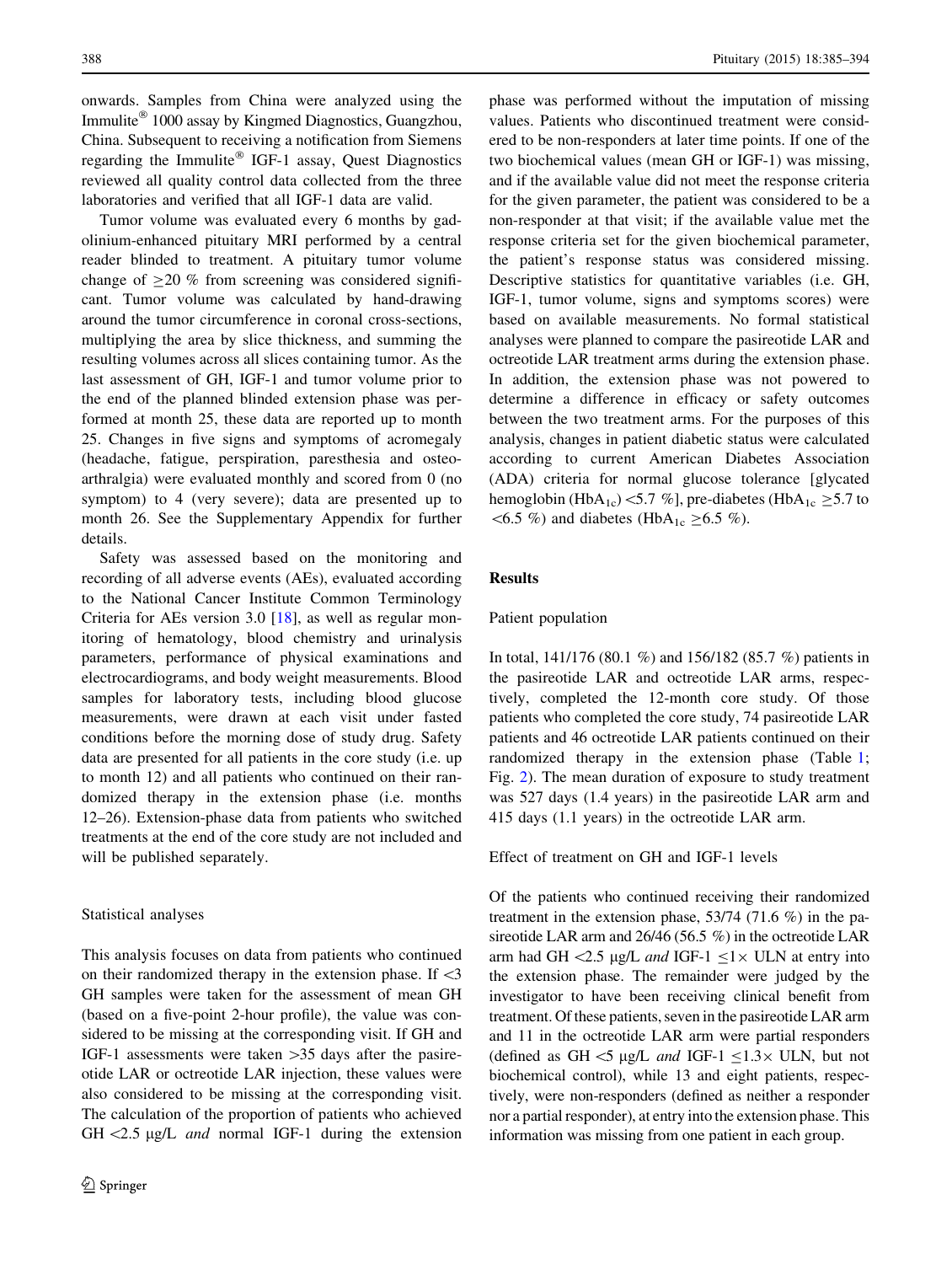onwards. Samples from China were analyzed using the Immulite<sup>®</sup> 1000 assay by Kingmed Diagnostics, Guangzhou, China. Subsequent to receiving a notification from Siemens regarding the Immulite<sup>®</sup> IGF-1 assay, Ouest Diagnostics reviewed all quality control data collected from the three laboratories and verified that all IGF-1 data are valid.

Tumor volume was evaluated every 6 months by gadolinium-enhanced pituitary MRI performed by a central reader blinded to treatment. A pituitary tumor volume change of  $\geq$ 20 % from screening was considered significant. Tumor volume was calculated by hand-drawing around the tumor circumference in coronal cross-sections, multiplying the area by slice thickness, and summing the resulting volumes across all slices containing tumor. As the last assessment of GH, IGF-1 and tumor volume prior to the end of the planned blinded extension phase was performed at month 25, these data are reported up to month 25. Changes in five signs and symptoms of acromegaly (headache, fatigue, perspiration, paresthesia and osteoarthralgia) were evaluated monthly and scored from 0 (no symptom) to 4 (very severe); data are presented up to month 26. See the Supplementary Appendix for further details.

Safety was assessed based on the monitoring and recording of all adverse events (AEs), evaluated according to the National Cancer Institute Common Terminology Criteria for AEs version 3.0 [[18\]](#page-9-0), as well as regular monitoring of hematology, blood chemistry and urinalysis parameters, performance of physical examinations and electrocardiograms, and body weight measurements. Blood samples for laboratory tests, including blood glucose measurements, were drawn at each visit under fasted conditions before the morning dose of study drug. Safety data are presented for all patients in the core study (i.e. up to month 12) and all patients who continued on their randomized therapy in the extension phase (i.e. months 12–26). Extension-phase data from patients who switched treatments at the end of the core study are not included and will be published separately.

## Statistical analyses

This analysis focuses on data from patients who continued on their randomized therapy in the extension phase. If  $\leq$ 3 GH samples were taken for the assessment of mean GH (based on a five-point 2-hour profile), the value was considered to be missing at the corresponding visit. If GH and IGF-1 assessments were taken  $>35$  days after the pasireotide LAR or octreotide LAR injection, these values were also considered to be missing at the corresponding visit. The calculation of the proportion of patients who achieved  $GH < 2.5$  µg/L *and* normal IGF-1 during the extension phase was performed without the imputation of missing values. Patients who discontinued treatment were considered to be non-responders at later time points. If one of the two biochemical values (mean GH or IGF-1) was missing, and if the available value did not meet the response criteria for the given parameter, the patient was considered to be a non-responder at that visit; if the available value met the response criteria set for the given biochemical parameter, the patient's response status was considered missing. Descriptive statistics for quantitative variables (i.e. GH, IGF-1, tumor volume, signs and symptoms scores) were based on available measurements. No formal statistical analyses were planned to compare the pasireotide LAR and octreotide LAR treatment arms during the extension phase. In addition, the extension phase was not powered to determine a difference in efficacy or safety outcomes between the two treatment arms. For the purposes of this analysis, changes in patient diabetic status were calculated according to current American Diabetes Association (ADA) criteria for normal glucose tolerance [glycated hemoglobin (HbA<sub>1c</sub>) < 5.7 %], pre-diabetes (HbA<sub>1c</sub>  $\geq$  5.7 to  $\leq 6.5 \%$ ) and diabetes (HbA<sub>1c</sub>  $\geq 6.5 \%$ ).

## Results

## Patient population

In total, 141/176 (80.1 %) and 156/182 (85.7 %) patients in the pasireotide LAR and octreotide LAR arms, respectively, completed the 12-month core study. Of those patients who completed the core study, 74 pasireotide LAR patients and 46 octreotide LAR patients continued on their randomized therapy in the extension phase (Table [1](#page-4-0); Fig. [2](#page-4-0)). The mean duration of exposure to study treatment was 527 days (1.4 years) in the pasireotide LAR arm and 415 days (1.1 years) in the octreotide LAR arm.

Effect of treatment on GH and IGF-1 levels

Of the patients who continued receiving their randomized treatment in the extension phase,  $53/74$  (71.6 %) in the pasireotide LAR arm and 26/46 (56.5 %) in the octreotide LAR arm had GH <2.5 µg/L and IGF-1  $\leq$ 1× ULN at entry into the extension phase. The remainder were judged by the investigator to have been receiving clinical benefit from treatment. Of these patients, seven in the pasireotide LAR arm and 11 in the octreotide LAR arm were partial responders (defined as GH  $\leq$  µg/L *and* IGF-1  $\leq$ 1.3 $\times$  ULN, but not biochemical control), while 13 and eight patients, respectively, were non-responders (defined as neither a responder nor a partial responder), at entry into the extension phase. This information was missing from one patient in each group.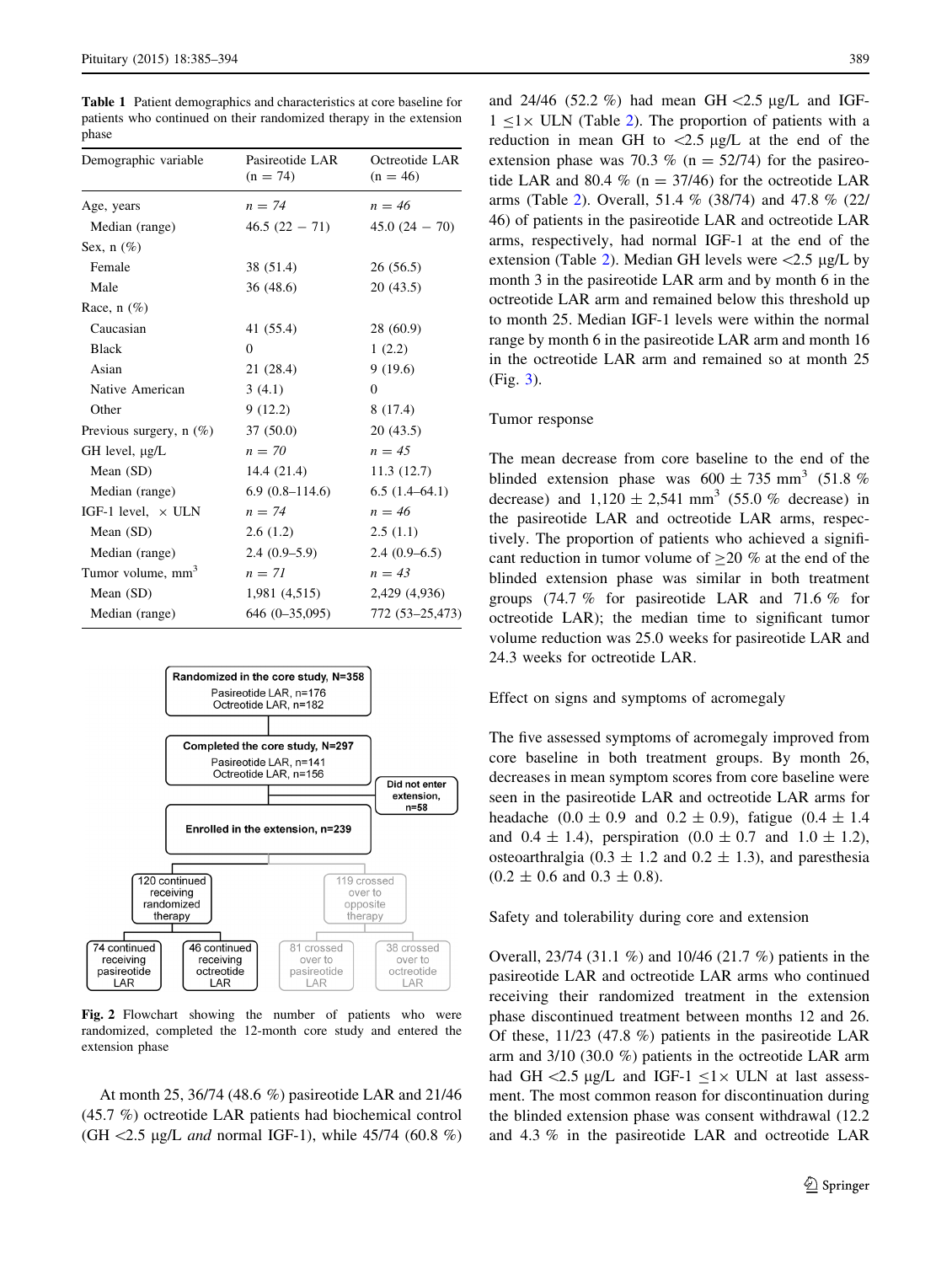<span id="page-4-0"></span>Table 1 Patient demographics and characteristics at core baseline for patients who continued on their randomized therapy in the extension phase

| Demographic variable          | Pasireotide LAR<br>$(n = 74)$ | Octreotide LAR<br>$(n = 46)$ |
|-------------------------------|-------------------------------|------------------------------|
| Age, years                    | $n = 74$                      | $n = 46$                     |
| Median (range)                | $46.5(22 - 71)$               | $45.0(24 - 70)$              |
| Sex, $n$ (%)                  |                               |                              |
| Female                        | 38 (51.4)                     | 26 (56.5)                    |
| Male                          | 36 (48.6)                     | 20 (43.5)                    |
| Race, $n$ (%)                 |                               |                              |
| Caucasian                     | 41 (55.4)                     | 28 (60.9)                    |
| <b>Black</b>                  | $\Omega$                      | 1(2.2)                       |
| Asian                         | 21 (28.4)                     | 9(19.6)                      |
| Native American               | 3(4.1)                        | $\Omega$                     |
| Other                         | 9(12.2)                       | 8 (17.4)                     |
| Previous surgery, $n$ (%)     | 37(50.0)                      | 20(43.5)                     |
| GH level, µg/L                | $n = 70$                      | $n = 45$                     |
| Mean $(SD)$                   | 14.4 (21.4)                   | 11.3(12.7)                   |
| Median (range)                | $6.9(0.8-114.6)$              | $6.5(1.4-64.1)$              |
| IGF-1 level, $\times$ ULN     | $n = 74$                      | $n = 46$                     |
| Mean $(SD)$                   | 2.6(1.2)                      | 2.5(1.1)                     |
| Median (range)                | $2.4(0.9-5.9)$                | $2.4(0.9-6.5)$               |
| Tumor volume, mm <sup>3</sup> | $n = 7l$                      | $n = 43$                     |
| Mean $(SD)$                   | 1,981 (4,515)                 | 2,429 (4,936)                |
| Median (range)                | $646(0-35,095)$               | 772 (53-25,473)              |



Fig. 2 Flowchart showing the number of patients who were randomized, completed the 12-month core study and entered the extension phase

At month 25, 36/74 (48.6 %) pasireotide LAR and 21/46 (45.7 %) octreotide LAR patients had biochemical control (GH  $<$ 2.5 µg/L and normal IGF-1), while 45/74 (60.8 %) and 24/46 (52.2 %) had mean GH  $\lt 2.5$  ug/L and IGF- $1 \leq 1 \times$  ULN (Table [2\)](#page-5-0). The proportion of patients with a reduction in mean GH to  $\langle 2.5 \text{ µg/L} \rangle$  at the end of the extension phase was 70.3 % (n =  $52/74$ ) for the pasireotide LAR and 80.4 % ( $n = 37/46$ ) for the octreotide LAR arms (Table [2](#page-5-0)). Overall, 51.4 % (38/74) and 47.8 % (22/ 46) of patients in the pasireotide LAR and octreotide LAR arms, respectively, had normal IGF-1 at the end of the extension (Table [2\)](#page-5-0). Median GH levels were  $\langle 2.5 \mu g/L \rangle$  by month 3 in the pasireotide LAR arm and by month 6 in the octreotide LAR arm and remained below this threshold up to month 25. Median IGF-1 levels were within the normal range by month 6 in the pasireotide LAR arm and month 16 in the octreotide LAR arm and remained so at month 25 (Fig. [3\)](#page-5-0).

## Tumor response

The mean decrease from core baseline to the end of the blinded extension phase was  $600 \pm 735$  mm<sup>3</sup> (51.8 %) decrease) and  $1,120 \pm 2,541 \text{ mm}^3$  (55.0 % decrease) in the pasireotide LAR and octreotide LAR arms, respectively. The proportion of patients who achieved a significant reduction in tumor volume of  $>20$  % at the end of the blinded extension phase was similar in both treatment groups (74.7 % for pasireotide LAR and 71.6 % for octreotide LAR); the median time to significant tumor volume reduction was 25.0 weeks for pasireotide LAR and 24.3 weeks for octreotide LAR.

Effect on signs and symptoms of acromegaly

The five assessed symptoms of acromegaly improved from core baseline in both treatment groups. By month 26, decreases in mean symptom scores from core baseline were seen in the pasireotide LAR and octreotide LAR arms for headache  $(0.0 \pm 0.9 \text{ and } 0.2 \pm 0.9)$ , fatigue  $(0.4 \pm 1.4 \text{)}$ and  $0.4 \pm 1.4$ ), perspiration  $(0.0 \pm 0.7 \text{ and } 1.0 \pm 1.2)$ , osteoarthralgia (0.3  $\pm$  1.2 and 0.2  $\pm$  1.3), and paresthesia  $(0.2 \pm 0.6$  and  $0.3 \pm 0.8)$ .

Safety and tolerability during core and extension

Overall, 23/74 (31.1 %) and 10/46 (21.7 %) patients in the pasireotide LAR and octreotide LAR arms who continued receiving their randomized treatment in the extension phase discontinued treatment between months 12 and 26. Of these, 11/23 (47.8 %) patients in the pasireotide LAR arm and 3/10 (30.0 %) patients in the octreotide LAR arm had GH $\leq$ 2.5 µg/L and IGF-1  $\leq$ 1 $\times$  ULN at last assessment. The most common reason for discontinuation during the blinded extension phase was consent withdrawal (12.2 and 4.3 % in the pasireotide LAR and octreotide LAR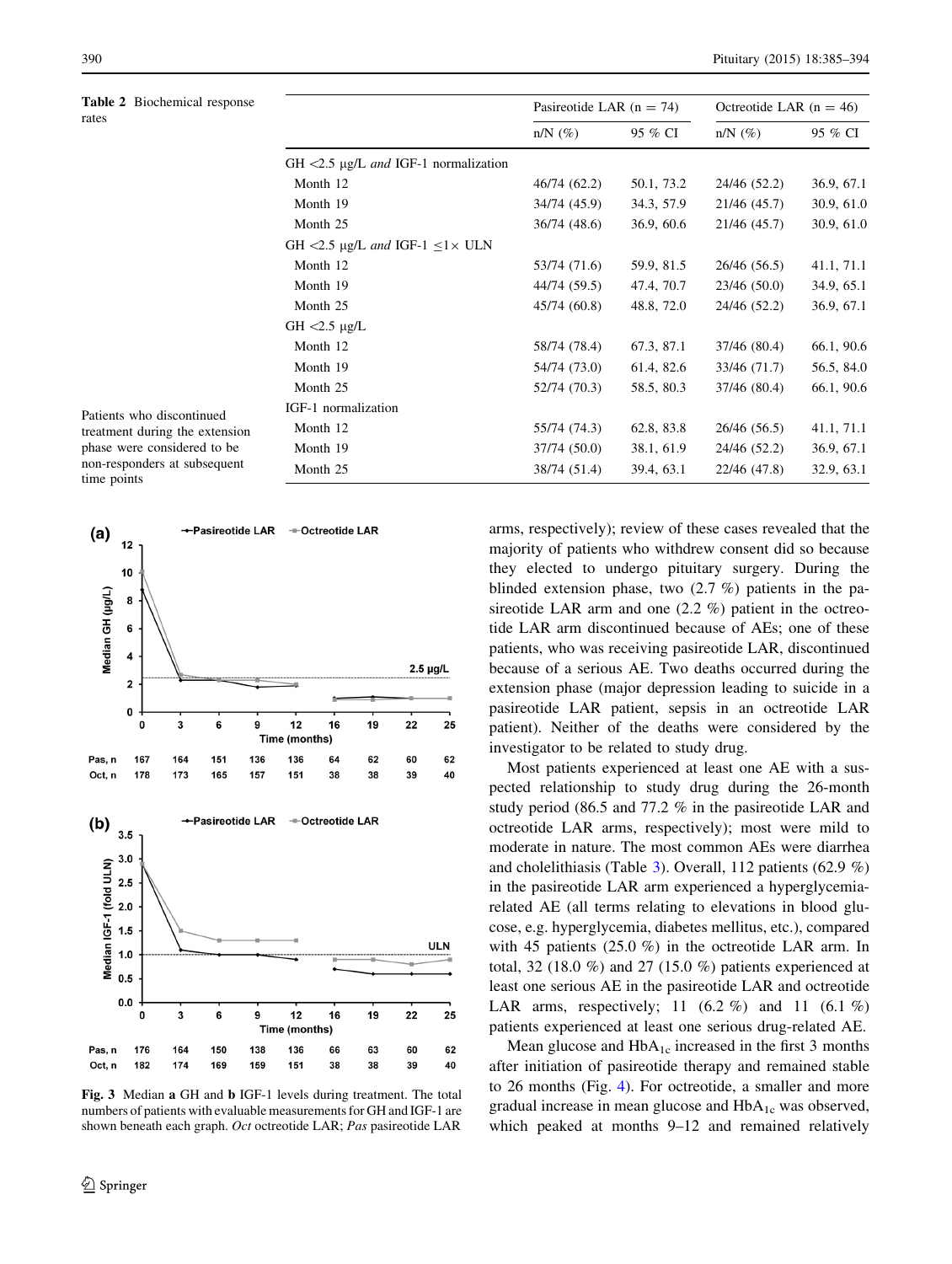<span id="page-5-0"></span>Table 2 Biochemical response rates

| Pasireotide LAR $(n = 74)$ |            | Octreotide LAR $(n = 46)$ |            |
|----------------------------|------------|---------------------------|------------|
| $n/N$ (%)                  | 95 % CI    | $n/N$ (%)                 | 95 % CI    |
|                            |            |                           |            |
| 46/74 (62.2)               | 50.1, 73.2 | 24/46 (52.2)              | 36.9, 67.1 |
| 34/74 (45.9)               | 34.3, 57.9 | 21/46 (45.7)              | 30.9, 61.0 |
| 36/74 (48.6)               | 36.9, 60.6 | 21/46 (45.7)              | 30.9, 61.0 |
|                            |            |                           |            |
| 53/74 (71.6)               | 59.9, 81.5 | 26/46 (56.5)              | 41.1, 71.1 |
| 44/74 (59.5)               | 47.4, 70.7 | 23/46 (50.0)              | 34.9, 65.1 |
| 45/74 (60.8)               | 48.8, 72.0 | 24/46 (52.2)              | 36.9, 67.1 |
|                            |            |                           |            |
| 58/74 (78.4)               | 67.3, 87.1 | 37/46 (80.4)              | 66.1, 90.6 |
| 54/74 (73.0)               | 61.4, 82.6 | 33/46 (71.7)              | 56.5, 84.0 |
| 52/74 (70.3)               | 58.5, 80.3 | 37/46 (80.4)              | 66.1, 90.6 |
|                            |            |                           |            |
| 55/74 (74.3)               | 62.8, 83.8 | 26/46 (56.5)              | 41.1, 71.1 |
| 37/74 (50.0)               | 38.1, 61.9 | 24/46 (52.2)              | 36.9, 67.1 |
| 38/74 (51.4)               | 39.4, 63.1 | 22/46 (47.8)              | 32.9, 63.1 |
|                            |            |                           |            |

Patients who discontinued treatment during the extension phase were considered to be non-responders at subsequent time points



Fig. 3 Median a GH and b IGF-1 levels during treatment. The total numbers of patients with evaluable measurements for GH and IGF-1 are shown beneath each graph. Oct octreotide LAR; Pas pasireotide LAR

arms, respectively); review of these cases revealed that the majority of patients who withdrew consent did so because they elected to undergo pituitary surgery. During the blinded extension phase, two (2.7 %) patients in the pasireotide LAR arm and one (2.2 %) patient in the octreotide LAR arm discontinued because of AEs; one of these patients, who was receiving pasireotide LAR, discontinued because of a serious AE. Two deaths occurred during the extension phase (major depression leading to suicide in a pasireotide LAR patient, sepsis in an octreotide LAR patient). Neither of the deaths were considered by the investigator to be related to study drug.

Most patients experienced at least one AE with a suspected relationship to study drug during the 26-month study period (86.5 and 77.2 % in the pasireotide LAR and octreotide LAR arms, respectively); most were mild to moderate in nature. The most common AEs were diarrhea and cholelithiasis (Table [3](#page-6-0)). Overall, 112 patients (62.9 %) in the pasireotide LAR arm experienced a hyperglycemiarelated AE (all terms relating to elevations in blood glucose, e.g. hyperglycemia, diabetes mellitus, etc.), compared with 45 patients (25.0 %) in the octreotide LAR arm. In total, 32 (18.0 %) and 27 (15.0 %) patients experienced at least one serious AE in the pasireotide LAR and octreotide LAR arms, respectively; 11  $(6.2 \%)$  and 11  $(6.1 \%)$ patients experienced at least one serious drug-related AE.

Mean glucose and  $HbA_{1c}$  increased in the first 3 months after initiation of pasireotide therapy and remained stable to 26 months (Fig. [4](#page-6-0)). For octreotide, a smaller and more gradual increase in mean glucose and  $HbA_{1c}$  was observed, which peaked at months 9–12 and remained relatively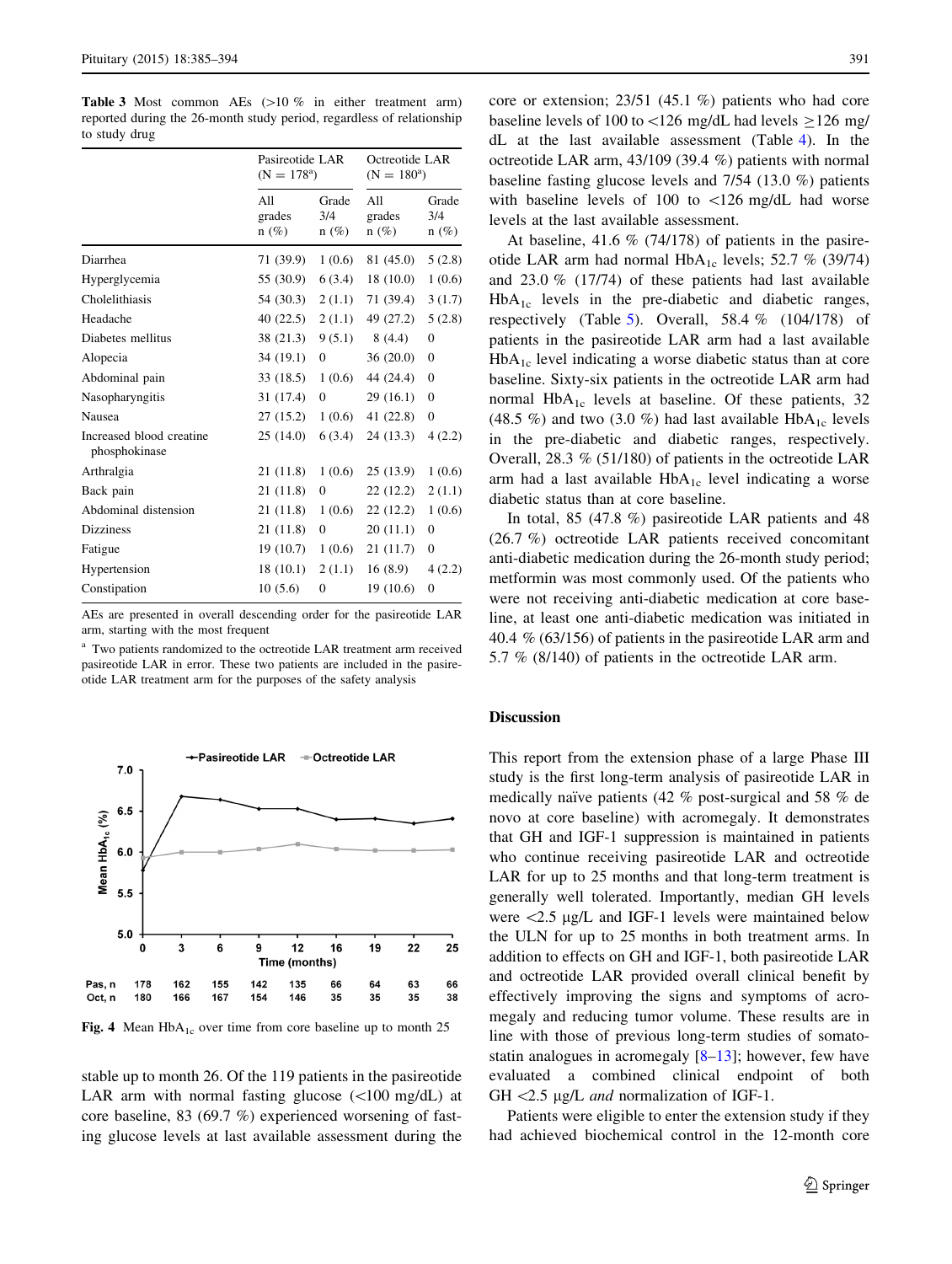|                                           | Pasireotide LAR<br>$(N = 178^a)$ |                         | Octreotide LAR<br>$(N = 180^a)$ |                         |
|-------------------------------------------|----------------------------------|-------------------------|---------------------------------|-------------------------|
|                                           | A11<br>grades<br>$n(\%)$         | Grade<br>3/4<br>$n(\%)$ | A11<br>grades<br>$n(\%)$        | Grade<br>3/4<br>$n(\%)$ |
| Diarrhea                                  | 71 (39.9)                        | 1(0.6)                  | 81 (45.0)                       | 5(2.8)                  |
| Hyperglycemia                             | 55 (30.9)                        | 6(3.4)                  | 18(10.0)                        | 1(0.6)                  |
| Cholelithiasis                            | 54 (30.3)                        | 2(1.1)                  | 71 (39.4)                       | 3(1.7)                  |
| Headache                                  | 40(22.5)                         | 2(1.1)                  | 49 (27.2)                       | 5(2.8)                  |
| Diabetes mellitus                         | 38 (21.3)                        | 9(5.1)                  | 8(4.4)                          | $\overline{0}$          |
| Alopecia                                  | 34(19.1)                         | $\mathbf{0}$            | 36(20.0)                        | $\mathbf{0}$            |
| Abdominal pain                            | 33(18.5)                         | 1(0.6)                  | 44 (24.4)                       | $\mathbf{0}$            |
| Nasopharyngitis                           | 31(17.4)                         | $\Omega$                | 29(16.1)                        | $\mathbf{0}$            |
| Nausea                                    | 27(15.2)                         | 1(0.6)                  | 41 (22.8)                       | $\mathbf{0}$            |
| Increased blood creatine<br>phosphokinase | 25(14.0)                         | 6(3.4)                  | 24(13.3)                        | 4(2.2)                  |
| Arthralgia                                | 21 (11.8)                        | 1(0.6)                  | 25(13.9)                        | 1(0.6)                  |
| Back pain                                 | 21(11.8)                         | $\mathbf{0}$            | 22(12.2)                        | 2(1.1)                  |
| Abdominal distension                      | 21(11.8)                         | 1(0.6)                  | 22(12.2)                        | 1(0.6)                  |
| <b>Dizziness</b>                          | 21(11.8)                         | $\mathbf{0}$            | 20(11.1)                        | $\boldsymbol{0}$        |
| Fatigue                                   | 19(10.7)                         | 1(0.6)                  | 21(11.7)                        | $\overline{0}$          |
| Hypertension                              | 18(10.1)                         | 2(1.1)                  | 16(8.9)                         | 4(2.2)                  |
| Constipation                              | 10(5.6)                          | $\overline{0}$          | 19 (10.6)                       | $\overline{0}$          |

<span id="page-6-0"></span>**Table 3** Most common AEs  $(>10 \%$  in either treatment arm) reported during the 26-month study period, regardless of relationship to study drug

AEs are presented in overall descending order for the pasireotide LAR arm, starting with the most frequent

<sup>a</sup> Two patients randomized to the octreotide LAR treatment arm received pasireotide LAR in error. These two patients are included in the pasireotide LAR treatment arm for the purposes of the safety analysis



Fig. 4 Mean  $HbA_{1c}$  over time from core baseline up to month 25

stable up to month 26. Of the 119 patients in the pasireotide LAR arm with normal fasting glucose  $(<100$  mg/dL) at core baseline, 83 (69.7 %) experienced worsening of fasting glucose levels at last available assessment during the core or extension; 23/51 (45.1 %) patients who had core baseline levels of 100 to <126 mg/dL had levels  $\geq$ 126 mg/ dL at the last available assessment (Table [4\)](#page-7-0). In the octreotide LAR arm, 43/109 (39.4 %) patients with normal baseline fasting glucose levels and 7/54 (13.0 %) patients with baseline levels of 100 to  $\langle 126 \text{ mg/dL} \rangle$  had worse levels at the last available assessment.

At baseline, 41.6 % (74/178) of patients in the pasireotide LAR arm had normal  $HbA_{1c}$  levels; 52.7 % (39/74) and 23.0 % (17/74) of these patients had last available  $HbA_{1c}$  levels in the pre-diabetic and diabetic ranges, respectively (Table [5](#page-7-0)). Overall, 58.4 % (104/178) of patients in the pasireotide LAR arm had a last available  $HbA_{1c}$  level indicating a worse diabetic status than at core baseline. Sixty-six patients in the octreotide LAR arm had normal  $HbA_{1c}$  levels at baseline. Of these patients, 32 (48.5 %) and two (3.0 %) had last available  $HbA_{1c}$  levels in the pre-diabetic and diabetic ranges, respectively. Overall, 28.3 % (51/180) of patients in the octreotide LAR arm had a last available  $HbA_{1c}$  level indicating a worse diabetic status than at core baseline.

In total, 85 (47.8 %) pasireotide LAR patients and 48 (26.7 %) octreotide LAR patients received concomitant anti-diabetic medication during the 26-month study period; metformin was most commonly used. Of the patients who were not receiving anti-diabetic medication at core baseline, at least one anti-diabetic medication was initiated in 40.4 % (63/156) of patients in the pasireotide LAR arm and 5.7 % (8/140) of patients in the octreotide LAR arm.

## Discussion

This report from the extension phase of a large Phase III study is the first long-term analysis of pasireotide LAR in medically naïve patients (42  $%$  post-surgical and 58  $%$  de novo at core baseline) with acromegaly. It demonstrates that GH and IGF-1 suppression is maintained in patients who continue receiving pasireotide LAR and octreotide LAR for up to 25 months and that long-term treatment is generally well tolerated. Importantly, median GH levels were  $\langle 2.5 \mu g/L \rangle$  and IGF-1 levels were maintained below the ULN for up to 25 months in both treatment arms. In addition to effects on GH and IGF-1, both pasireotide LAR and octreotide LAR provided overall clinical benefit by effectively improving the signs and symptoms of acromegaly and reducing tumor volume. These results are in line with those of previous long-term studies of somatostatin analogues in acromegaly  $[8-13]$ ; however, few have evaluated a combined clinical endpoint of both  $GH < 2.5$  µg/L and normalization of IGF-1.

Patients were eligible to enter the extension study if they had achieved biochemical control in the 12-month core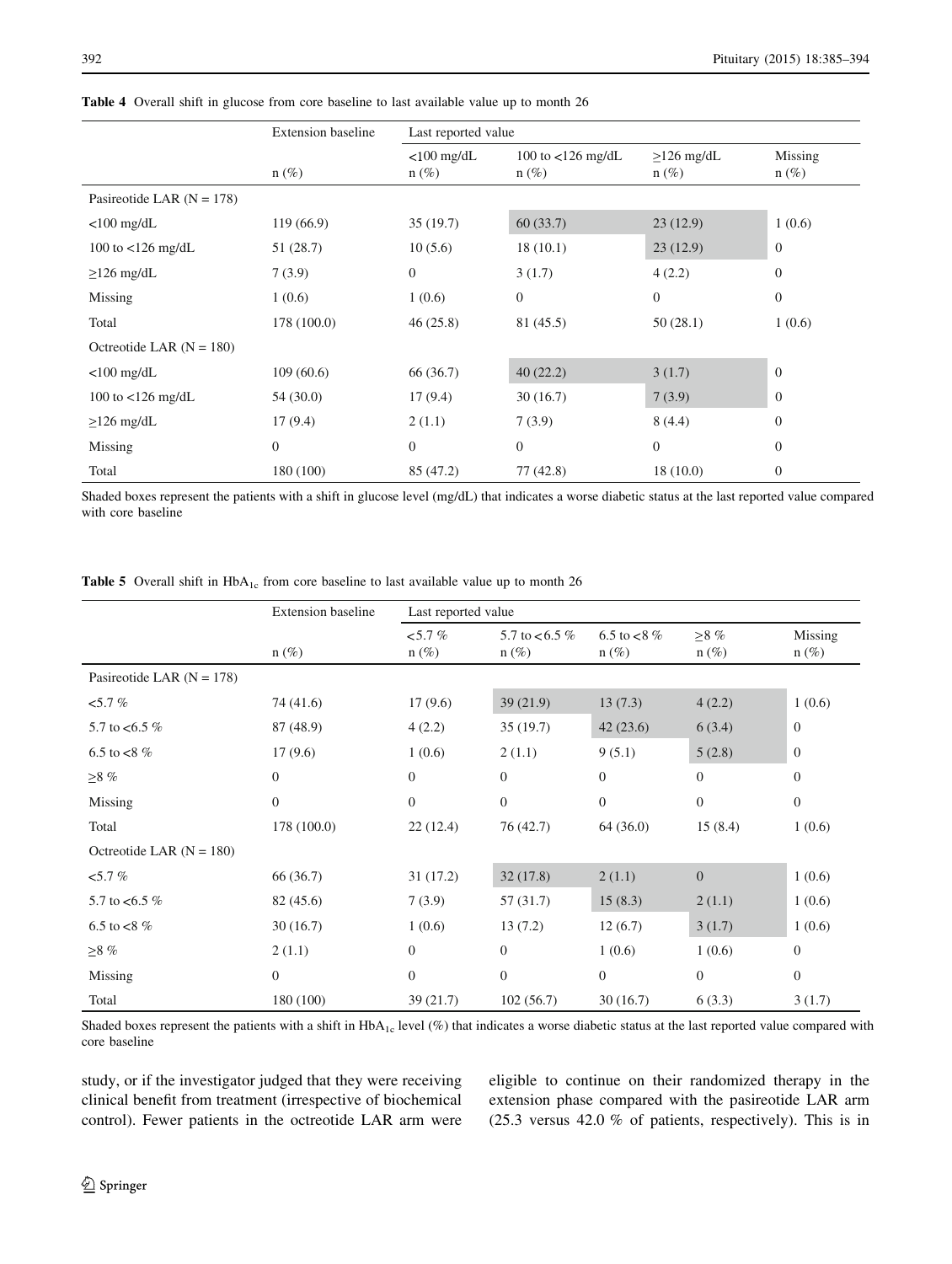|                             | <b>Extension</b> baseline | Last reported value      |                                 |                             |                    |
|-----------------------------|---------------------------|--------------------------|---------------------------------|-----------------------------|--------------------|
|                             | $n(\%)$                   | $<$ 100 mg/dL<br>$n(\%)$ | 100 to $<$ 126 mg/dL<br>$n(\%)$ | $\geq$ 126 mg/dL<br>$n(\%)$ | Missing<br>$n(\%)$ |
| Pasireotide LAR $(N = 178)$ |                           |                          |                                 |                             |                    |
| $<$ 100 mg/dL               | 119(66.9)                 | 35(19.7)                 | 60(33.7)                        | 23(12.9)                    | 1(0.6)             |
| 100 to $\langle$ 126 mg/dL  | 51 (28.7)                 | 10(5.6)                  | 18(10.1)                        | 23(12.9)                    | $\Omega$           |
| $\geq$ 126 mg/dL            | 7(3.9)                    | $\overline{0}$           | 3(1.7)                          | 4(2.2)                      | $\overline{0}$     |
| Missing                     | 1(0.6)                    | 1(0.6)                   | $\theta$                        | $\Omega$                    | $\overline{0}$     |
| Total                       | 178 (100.0)               | 46(25.8)                 | 81 (45.5)                       | 50(28.1)                    | 1(0.6)             |
| Octreotide LAR $(N = 180)$  |                           |                          |                                 |                             |                    |
| $<$ 100 mg/dL               | 109(60.6)                 | 66 (36.7)                | 40(22.2)                        | 3(1.7)                      | $\mathbf{0}$       |
| 100 to $\langle$ 126 mg/dL  | 54 (30.0)                 | 17(9.4)                  | 30(16.7)                        | 7(3.9)                      | $\overline{0}$     |
| $\geq$ 126 mg/dL            | 17(9.4)                   | 2(1.1)                   | 7(3.9)                          | 8(4.4)                      | $\overline{0}$     |
| Missing                     | $\boldsymbol{0}$          | $\overline{0}$           | $\theta$                        | $\overline{0}$              | $\overline{0}$     |
| Total                       | 180 (100)                 | 85 (47.2)                | 77 (42.8)                       | 18(10.0)                    | $\overline{0}$     |

<span id="page-7-0"></span>Table 4 Overall shift in glucose from core baseline to last available value up to month 26

Shaded boxes represent the patients with a shift in glucose level (mg/dL) that indicates a worse diabetic status at the last reported value compared with core baseline

Table 5 Overall shift in  $HbA_{1c}$  from core baseline to last available value up to month 26

|                             | <b>Extension baseline</b> | Last reported value   |                            |                           |                   |                     |
|-----------------------------|---------------------------|-----------------------|----------------------------|---------------------------|-------------------|---------------------|
|                             | $n (\%)$                  | $< 5.7 \%$<br>$n(\%)$ | 5.7 to <6.5 $%$<br>$n(\%)$ | 6.5 to $< 8\%$<br>$n(\%)$ | $>8\%$<br>$n(\%)$ | Missing<br>$n (\%)$ |
| Pasireotide LAR $(N = 178)$ |                           |                       |                            |                           |                   |                     |
| $5.7\%$                     | 74 (41.6)                 | 17(9.6)               | 39(21.9)                   | 13(7.3)                   | 4(2.2)            | 1(0.6)              |
| 5.7 to $<6.5\%$             | 87 (48.9)                 | 4(2.2)                | 35(19.7)                   | 42(23.6)                  | 6(3.4)            | $\overline{0}$      |
| 6.5 to $< 8$ %              | 17(9.6)                   | 1(0.6)                | 2(1.1)                     | 9(5.1)                    | 5(2.8)            | $\overline{0}$      |
| $\geq$ 8 %                  | $\mathbf{0}$              | $\theta$              | $\mathbf{0}$               | $\mathbf{0}$              | $\overline{0}$    | $\mathbf{0}$        |
| Missing                     | $\mathbf{0}$              | $\Omega$              | $\overline{0}$             | $\Omega$                  | $\Omega$          | $\mathbf{0}$        |
| Total                       | 178 (100.0)               | 22(12.4)              | 76(42.7)                   | 64 (36.0)                 | 15(8.4)           | 1(0.6)              |
| Octreotide LAR $(N = 180)$  |                           |                       |                            |                           |                   |                     |
| $5.7\%$                     | 66 (36.7)                 | 31(17.2)              | 32(17.8)                   | 2(1.1)                    | $\overline{0}$    | 1(0.6)              |
| 5.7 to $<6.5\%$             | 82 (45.6)                 | 7(3.9)                | 57 (31.7)                  | 15(8.3)                   | 2(1.1)            | 1(0.6)              |
| 6.5 to $< 8$ %              | 30(16.7)                  | 1(0.6)                | 13(7.2)                    | 12(6.7)                   | 3(1.7)            | 1(0.6)              |
| $\geq$ 8 %                  | 2(1.1)                    | $\theta$              | $\boldsymbol{0}$           | 1(0.6)                    | 1(0.6)            | $\mathbf{0}$        |
| Missing                     | $\mathbf{0}$              | $\theta$              | $\boldsymbol{0}$           | $\theta$                  | $\Omega$          | $\theta$            |
| Total                       | 180 (100)                 | 39(21.7)              | 102(56.7)                  | 30(16.7)                  | 6(3.3)            | 3(1.7)              |

Shaded boxes represent the patients with a shift in HbA<sub>1c</sub> level (%) that indicates a worse diabetic status at the last reported value compared with core baseline

study, or if the investigator judged that they were receiving clinical benefit from treatment (irrespective of biochemical control). Fewer patients in the octreotide LAR arm were eligible to continue on their randomized therapy in the extension phase compared with the pasireotide LAR arm (25.3 versus 42.0 % of patients, respectively). This is in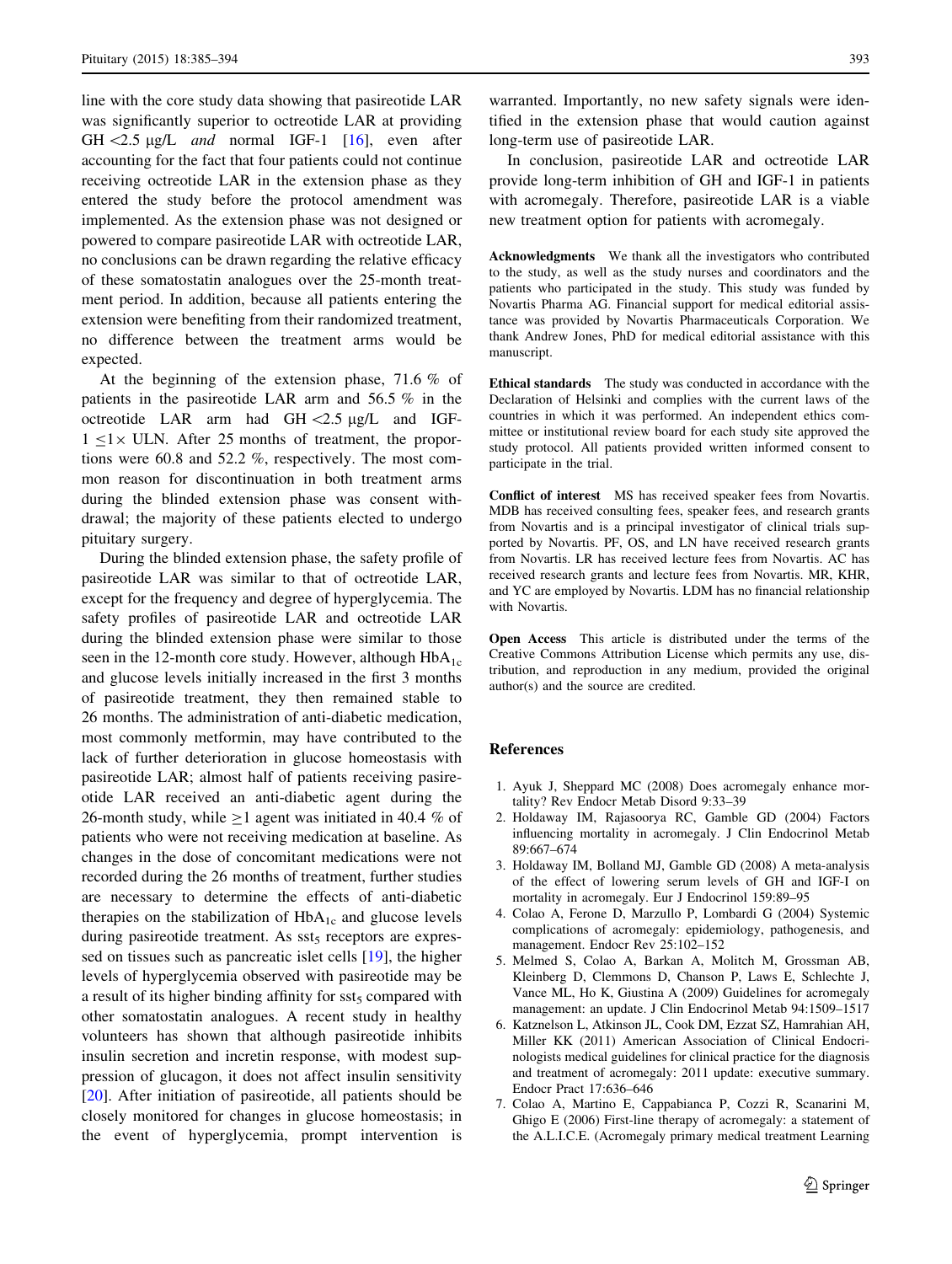<span id="page-8-0"></span>line with the core study data showing that pasireotide LAR was significantly superior to octreotide LAR at providing GH  $\langle 2.5 \mu g/L \quad and \quad normal \quad IGF-1 \quad [16]$  $\langle 2.5 \mu g/L \quad and \quad normal \quad IGF-1 \quad [16]$ , even after accounting for the fact that four patients could not continue receiving octreotide LAR in the extension phase as they entered the study before the protocol amendment was implemented. As the extension phase was not designed or powered to compare pasireotide LAR with octreotide LAR, no conclusions can be drawn regarding the relative efficacy of these somatostatin analogues over the 25-month treatment period. In addition, because all patients entering the extension were benefiting from their randomized treatment, no difference between the treatment arms would be expected.

At the beginning of the extension phase, 71.6 % of patients in the pasireotide LAR arm and 56.5 % in the octreotide LAR arm had  $GH < 2.5 \mu g/L$  and IGF- $1 \leq 1 \times$  ULN. After 25 months of treatment, the proportions were 60.8 and 52.2 %, respectively. The most common reason for discontinuation in both treatment arms during the blinded extension phase was consent withdrawal; the majority of these patients elected to undergo pituitary surgery.

During the blinded extension phase, the safety profile of pasireotide LAR was similar to that of octreotide LAR, except for the frequency and degree of hyperglycemia. The safety profiles of pasireotide LAR and octreotide LAR during the blinded extension phase were similar to those seen in the 12-month core study. However, although  $HbA_{1c}$ and glucose levels initially increased in the first 3 months of pasireotide treatment, they then remained stable to 26 months. The administration of anti-diabetic medication, most commonly metformin, may have contributed to the lack of further deterioration in glucose homeostasis with pasireotide LAR; almost half of patients receiving pasireotide LAR received an anti-diabetic agent during the 26-month study, while  $\geq 1$  agent was initiated in 40.4 % of patients who were not receiving medication at baseline. As changes in the dose of concomitant medications were not recorded during the 26 months of treatment, further studies are necessary to determine the effects of anti-diabetic therapies on the stabilization of  $HbA_{1c}$  and glucose levels during pasireotide treatment. As  $sst<sub>5</sub>$  receptors are expressed on tissues such as pancreatic islet cells [[19\]](#page-9-0), the higher levels of hyperglycemia observed with pasireotide may be a result of its higher binding affinity for  $sst<sub>5</sub>$  compared with other somatostatin analogues. A recent study in healthy volunteers has shown that although pasireotide inhibits insulin secretion and incretin response, with modest suppression of glucagon, it does not affect insulin sensitivity [\[20](#page-9-0)]. After initiation of pasireotide, all patients should be closely monitored for changes in glucose homeostasis; in the event of hyperglycemia, prompt intervention is

warranted. Importantly, no new safety signals were identified in the extension phase that would caution against long-term use of pasireotide LAR.

In conclusion, pasireotide LAR and octreotide LAR provide long-term inhibition of GH and IGF-1 in patients with acromegaly. Therefore, pasireotide LAR is a viable new treatment option for patients with acromegaly.

Acknowledgments We thank all the investigators who contributed to the study, as well as the study nurses and coordinators and the patients who participated in the study. This study was funded by Novartis Pharma AG. Financial support for medical editorial assistance was provided by Novartis Pharmaceuticals Corporation. We thank Andrew Jones, PhD for medical editorial assistance with this manuscript.

Ethical standards The study was conducted in accordance with the Declaration of Helsinki and complies with the current laws of the countries in which it was performed. An independent ethics committee or institutional review board for each study site approved the study protocol. All patients provided written informed consent to participate in the trial.

Conflict of interest MS has received speaker fees from Novartis. MDB has received consulting fees, speaker fees, and research grants from Novartis and is a principal investigator of clinical trials supported by Novartis. PF, OS, and LN have received research grants from Novartis. LR has received lecture fees from Novartis. AC has received research grants and lecture fees from Novartis. MR, KHR, and YC are employed by Novartis. LDM has no financial relationship with Novartis.

Open Access This article is distributed under the terms of the Creative Commons Attribution License which permits any use, distribution, and reproduction in any medium, provided the original author(s) and the source are credited.

## References

- 1. Ayuk J, Sheppard MC (2008) Does acromegaly enhance mortality? Rev Endocr Metab Disord 9:33–39
- 2. Holdaway IM, Rajasoorya RC, Gamble GD (2004) Factors influencing mortality in acromegaly. J Clin Endocrinol Metab 89:667–674
- 3. Holdaway IM, Bolland MJ, Gamble GD (2008) A meta-analysis of the effect of lowering serum levels of GH and IGF-I on mortality in acromegaly. Eur J Endocrinol 159:89–95
- 4. Colao A, Ferone D, Marzullo P, Lombardi G (2004) Systemic complications of acromegaly: epidemiology, pathogenesis, and management. Endocr Rev 25:102–152
- 5. Melmed S, Colao A, Barkan A, Molitch M, Grossman AB, Kleinberg D, Clemmons D, Chanson P, Laws E, Schlechte J, Vance ML, Ho K, Giustina A (2009) Guidelines for acromegaly management: an update. J Clin Endocrinol Metab 94:1509–1517
- 6. Katznelson L, Atkinson JL, Cook DM, Ezzat SZ, Hamrahian AH, Miller KK (2011) American Association of Clinical Endocrinologists medical guidelines for clinical practice for the diagnosis and treatment of acromegaly: 2011 update: executive summary. Endocr Pract 17:636–646
- 7. Colao A, Martino E, Cappabianca P, Cozzi R, Scanarini M, Ghigo E (2006) First-line therapy of acromegaly: a statement of the A.L.I.C.E. (Acromegaly primary medical treatment Learning